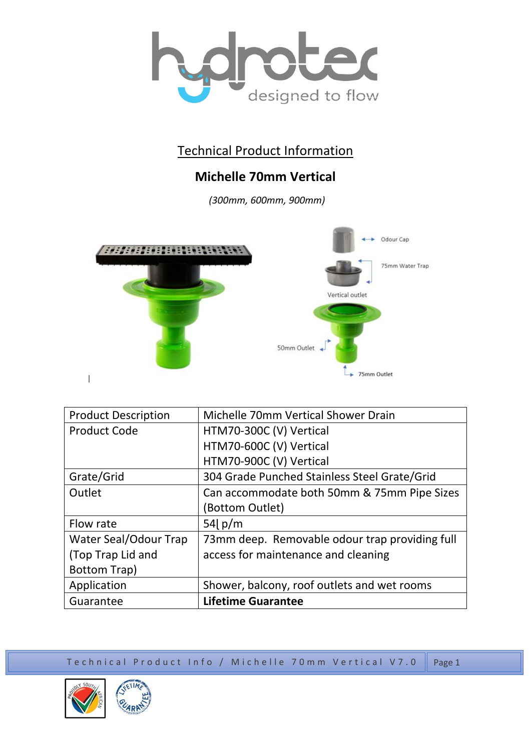

## Technical Product Information

## **Michelle 70mm Vertical**

*(300mm, 600mm, 900mm)*



| <b>Product Description</b> | Michelle 70mm Vertical Shower Drain            |
|----------------------------|------------------------------------------------|
| <b>Product Code</b>        | HTM70-300C (V) Vertical                        |
|                            | HTM70-600C (V) Vertical                        |
|                            | HTM70-900C (V) Vertical                        |
| Grate/Grid                 | 304 Grade Punched Stainless Steel Grate/Grid   |
| Outlet                     | Can accommodate both 50mm & 75mm Pipe Sizes    |
|                            | (Bottom Outlet)                                |
| Flow rate                  | 54 $p/m$                                       |
| Water Seal/Odour Trap      | 73mm deep. Removable odour trap providing full |
| (Top Trap Lid and          | access for maintenance and cleaning            |
| <b>Bottom Trap)</b>        |                                                |
| Application                | Shower, balcony, roof outlets and wet rooms    |
| Guarantee                  | <b>Lifetime Guarantee</b>                      |

Technical Product Info / Michelle 70mm Vertical V7.0 Page 1